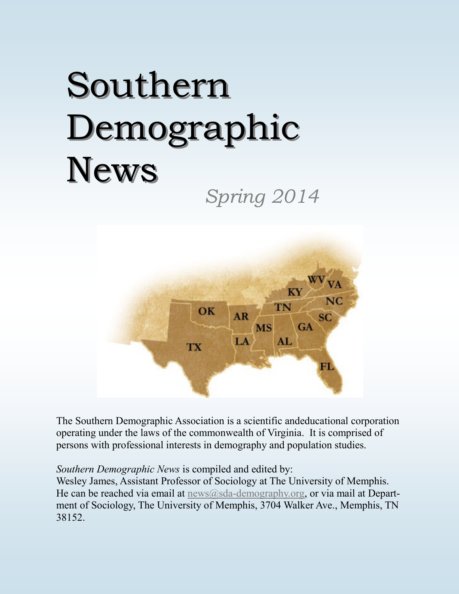# Southern Demographic News

*Spring 2014*



The Southern Demographic Association is a scientific andeducational corporation operating under the laws of the commonwealth of Virginia. It is comprised of persons with professional interests in demography and population studies.

*Southern Demographic News* is compiled and edited by:

Wesley James, Assistant Professor of Sociology at The University of Memphis. He can be reached via email at  $news@sda$ -[demography.org,](mailto:news@sda-demography.org) or via mail at Department of Sociology, The University of Memphis, 3704 Walker Ave., Memphis, TN 38152.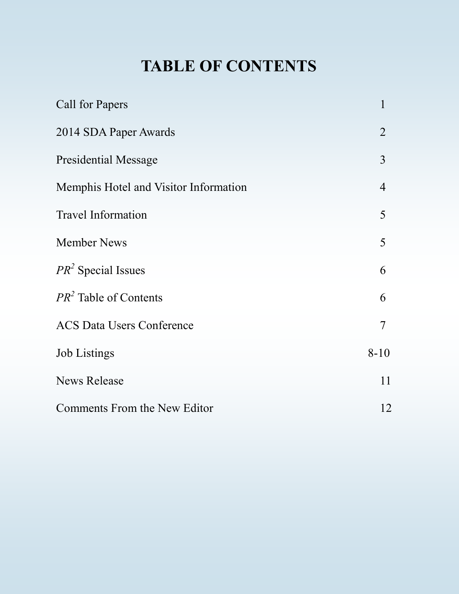# **TABLE OF CONTENTS**

| <b>Call for Papers</b>                | $\mathbf{1}$             |
|---------------------------------------|--------------------------|
| 2014 SDA Paper Awards                 | $\overline{2}$           |
| <b>Presidential Message</b>           | 3                        |
| Memphis Hotel and Visitor Information | $\overline{4}$           |
| <b>Travel Information</b>             | 5                        |
| <b>Member News</b>                    | 5                        |
| $PR2$ Special Issues                  | 6                        |
| $PR2$ Table of Contents               | 6                        |
| <b>ACS Data Users Conference</b>      | $\overline{\mathcal{L}}$ |
| <b>Job Listings</b>                   | $8 - 10$                 |
| <b>News Release</b>                   | 11                       |
| Comments From the New Editor          | 12                       |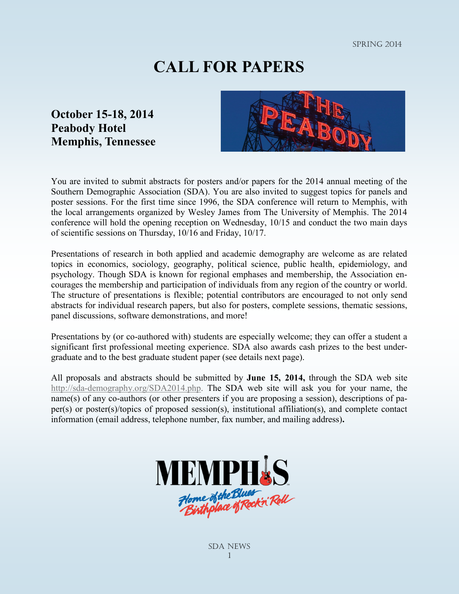spring 2014

## **CALL FOR PAPERS**

#### **October 15-18, 2014 Peabody Hotel Memphis, Tennessee**



You are invited to submit abstracts for posters and/or papers for the 2014 annual meeting of the Southern Demographic Association (SDA). You are also invited to suggest topics for panels and poster sessions. For the first time since 1996, the SDA conference will return to Memphis, with the local arrangements organized by Wesley James from The University of Memphis. The 2014 conference will hold the opening reception on Wednesday, 10/15 and conduct the two main days of scientific sessions on Thursday, 10/16 and Friday, 10/17.

Presentations of research in both applied and academic demography are welcome as are related topics in economics, sociology, geography, political science, public health, epidemiology, and psychology. Though SDA is known for regional emphases and membership, the Association encourages the membership and participation of individuals from any region of the country or world. The structure of presentations is flexible; potential contributors are encouraged to not only send abstracts for individual research papers, but also for posters, complete sessions, thematic sessions, panel discussions, software demonstrations, and more!

Presentations by (or co-authored with) students are especially welcome; they can offer a student a significant first professional meeting experience. SDA also awards cash prizes to the best undergraduate and to the best graduate student paper (see details next page).

All proposals and abstracts should be submitted by **June 15, 2014,** through the SDA web site http://sda-[demography.org/SDA2014.php.](http://sda-demography.org/SDA2014.php) The SDA web site will ask you for your name, the name(s) of any co-authors (or other presenters if you are proposing a session), descriptions of paper(s) or poster(s)/topics of proposed session(s), institutional affiliation(s), and complete contact information (email address, telephone number, fax number, and mailing address)**.**

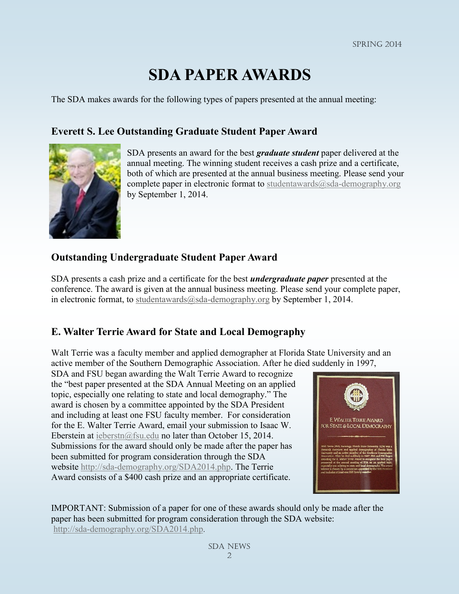## **SDA PAPER AWARDS**

The SDA makes awards for the following types of papers presented at the annual meeting:

#### **Everett S. Lee Outstanding Graduate Student Paper Award**



 SDA presents an award for the best *graduate student* paper delivered at the annual meeting. The winning student receives a cash prize and a certificate, both of which are presented at the annual business meeting. Please send your complete paper in electronic format to studentawards $@sda$ -demography.org by September 1, 2014.

#### **Outstanding Undergraduate Student Paper Award**

SDA presents a cash prize and a certificate for the best *undergraduate paper* presented at the conference. The award is given at the annual business meeting. Please send your complete paper, in electronic format, to studentawards $@$ sda-demography.org by September 1, 2014.

#### **E. Walter Terrie Award for State and Local Demography**

Walt Terrie was a faculty member and applied demographer at Florida State University and an active member of the Southern Demographic Association. After he died suddenly in 1997,

SDA and FSU began awarding the Walt Terrie Award to recognize the "best paper presented at the SDA Annual Meeting on an applied topic, especially one relating to state and local demography." The award is chosen by a committee appointed by the SDA President and including at least one FSU faculty member. For consideration for the E. Walter Terrie Award, email your submission to Isaac W. Eberstein at [ieberstn@fsu.edu](mailto:ieberstn@coss.fsu.edu) no later than October 15, 2014. Submissions for the award should only be made after the paper has been submitted for program consideration through the SDA website http://sda-[demography.org/SDA2014.php.](http://sda-demography.org/SDA2014.php) The Terrie Award consists of a \$400 cash prize and an appropriate certificate.



IMPORTANT: Submission of a paper for one of these awards should only be made after the paper has been submitted for program consideration through the SDA website: http://sda-[demography.org/SDA2014.php](http://sda-demography.org/SDA2014.php).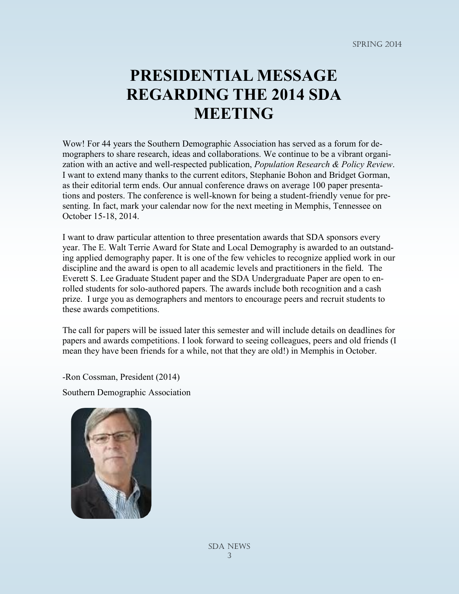## **PRESIDENTIAL MESSAGE REGARDING THE 2014 SDA MEETING**

Wow! For 44 years the Southern Demographic Association has served as a forum for demographers to share research, ideas and collaborations. We continue to be a vibrant organization with an active and well-respected publication, *Population Research & Policy Review*. I want to extend many thanks to the current editors, Stephanie Bohon and Bridget Gorman, as their editorial term ends. Our annual conference draws on average 100 paper presentations and posters. The conference is well-known for being a student-friendly venue for presenting. In fact, mark your calendar now for the next meeting in Memphis, Tennessee on October 15-18, 2014.

I want to draw particular attention to three presentation awards that SDA sponsors every year. The E. Walt Terrie Award for State and Local Demography is awarded to an outstanding applied demography paper. It is one of the few vehicles to recognize applied work in our discipline and the award is open to all academic levels and practitioners in the field. The Everett S. Lee Graduate Student paper and the SDA Undergraduate Paper are open to enrolled students for solo-authored papers. The awards include both recognition and a cash prize. I urge you as demographers and mentors to encourage peers and recruit students to these awards competitions.

The call for papers will be issued later this semester and will include details on deadlines for papers and awards competitions. I look forward to seeing colleagues, peers and old friends (I mean they have been friends for a while, not that they are old!) in Memphis in October.

-Ron Cossman, President (2014)

Southern Demographic Association

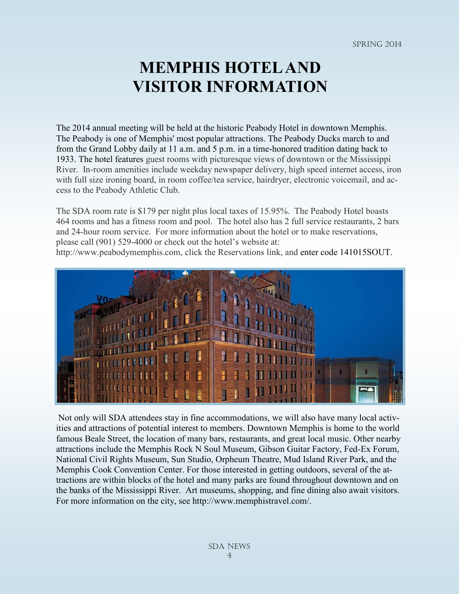## **MEMPHIS HOTEL AND VISITOR INFORMATION**

The 2014 annual meeting will be held at the historic Peabody Hotel in downtown Memphis. The Peabody is one of Memphis' most popular attractions. The Peabody Ducks march to and from the Grand Lobby daily at 11 a.m. and 5 p.m. in a time-honored tradition dating back to 1933. The hotel features guest rooms with picturesque views of downtown or the Mississippi River. In-room amenities include weekday newspaper delivery, high speed internet access, iron with full size ironing board, in room coffee/tea service, hairdryer, electronic voicemail, and access to the Peabody Athletic Club.

The SDA room rate is \$179 per night plus local taxes of 15.95%. The Peabody Hotel boasts 464 rooms and has a fitness room and pool. The hotel also has 2 full service restaurants, 2 bars and 24-hour room service. For more information about the hotel or to make reservations, please call (901) 529-4000 or check out the hotel's website at:

http://www.peabodymemphis.com, click the Reservations link, and enter code 141015SOUT.



Not only will SDA attendees stay in fine accommodations, we will also have many local activities and attractions of potential interest to members. Downtown Memphis is home to the world famous Beale Street, the location of many bars, restaurants, and great local music. Other nearby attractions include the Memphis Rock N Soul Museum, Gibson Guitar Factory, Fed-Ex Forum, National Civil Rights Museum, Sun Studio, Orpheum Theatre, Mud Island River Park, and the Memphis Cook Convention Center. For those interested in getting outdoors, several of the attractions are within blocks of the hotel and many parks are found throughout downtown and on the banks of the Mississippi River. Art museums, shopping, and fine dining also await visitors. For more information on the city, see http://www.memphistravel.com/.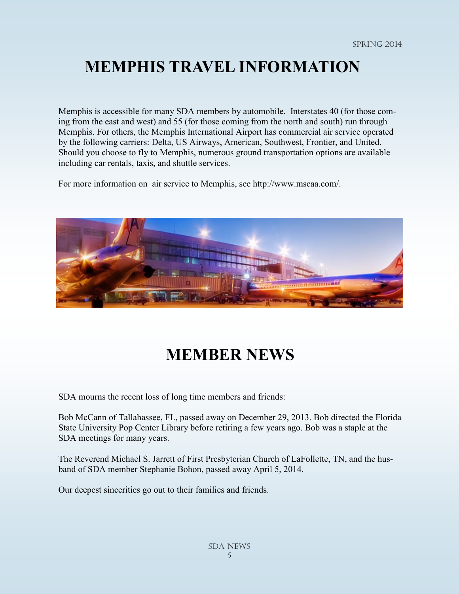#### **MEMPHIS TRAVEL INFORMATION**

Memphis is accessible for many SDA members by automobile. Interstates 40 (for those coming from the east and west) and 55 (for those coming from the north and south) run through Memphis. For others, the Memphis International Airport has commercial air service operated by the following carriers: Delta, US Airways, American, Southwest, Frontier, and United. Should you choose to fly to Memphis, numerous ground transportation options are available including car rentals, taxis, and shuttle services.

For more information on air service to Memphis, see http://www.mscaa.com/.



## **MEMBER NEWS**

SDA mourns the recent loss of long time members and friends:

Bob McCann of Tallahassee, FL, passed away on December 29, 2013. Bob directed the Florida State University Pop Center Library before retiring a few years ago. Bob was a staple at the SDA meetings for many years.

The Reverend Michael S. Jarrett of First Presbyterian Church of LaFollette, TN, and the husband of SDA member Stephanie Bohon, passed away April 5, 2014.

Our deepest sincerities go out to their families and friends.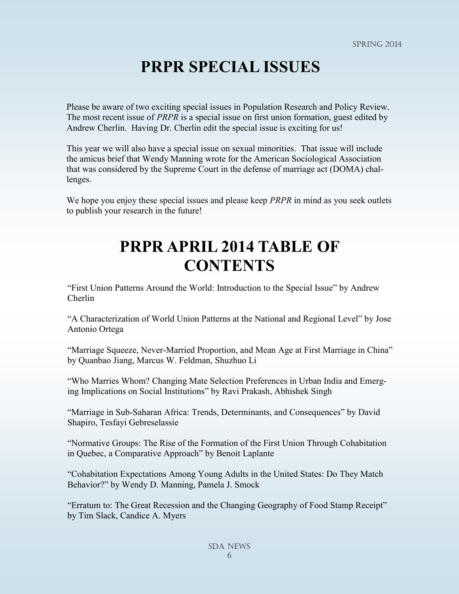#### **PRPR SPECIAL ISSUES**

Please be aware of two exciting special issues in Population Research and Policy Review. The most recent issue of *PRPR* is a special issue on first union formation, guest edited by Andrew Cherlin. Having Dr. Cherlin edit the special issue is exciting for us!

This year we will also have a special issue on sexual minorities. That issue will include the amicus brief that Wendy Manning wrote for the American Sociological Association that was considered by the Supreme Court in the defense of marriage act (DOMA) challenges.

We hope you enjoy these special issues and please keep *PRPR* in mind as you seek outlets to publish your research in the future!

#### **PRPR APRIL 2014 TABLE OF CONTENTS**

"First Union Patterns Around the World: Introduction to the Special Issue" by Andrew Cherlin

"A Characterization of World Union Patterns at the National and Regional Level" by Jose Antonio Ortega

"Marriage Squeeze, Never-Married Proportion, and Mean Age at First Marriage in China" by Quanbao Jiang, Marcus W. Feldman, Shuzhuo Li

"Who Marries Whom? Changing Mate Selection Preferences in Urban India and Emerging Implications on Social Institutions" by Ravi Prakash, Abhishek Singh

"Marriage in Sub-Saharan Africa: Trends, Determinants, and Consequences" by David Shapiro, Tesfayi Gebreselassie

"Normative Groups: The Rise of the Formation of the First Union Through Cohabitation in Quebec, a Comparative Approach" by Benoit Laplante

"Cohabitation Expectations Among Young Adults in the United States: Do They Match Behavior?" by Wendy D. Manning, Pamela J. Smock

"Erratum to: The Great Recession and the Changing Geography of Food Stamp Receipt" by Tim Slack, Candice A. Myers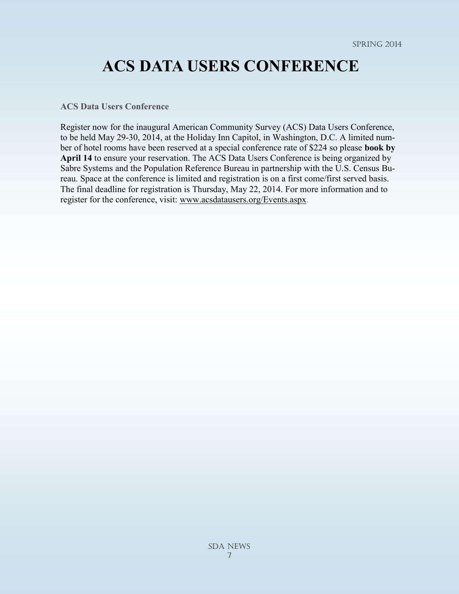#### **ACS DATA USERS CONFERENCE**

**ACS Data Users Conference**

Register now for the inaugural American Community Survey (ACS) Data Users Conference, to be held May 29-30, 2014, at the Holiday Inn Capitol, in Washington, D.C. A limited number of hotel rooms have been reserved at a special conference rate of \$224 so please **book by April 14** to ensure your reservation. The ACS Data Users Conference is being organized by Sabre Systems and the Population Reference Bureau in partnership with the U.S. Census Bureau. Space at the conference is limited and registration is on a first come/first served basis. The final deadline for registration is Thursday, May 22, 2014. For more information and to register for the conference, visit: [www.acsdatausers.org/Events.aspx.](http://www.acsdatausers.org/Events.aspx)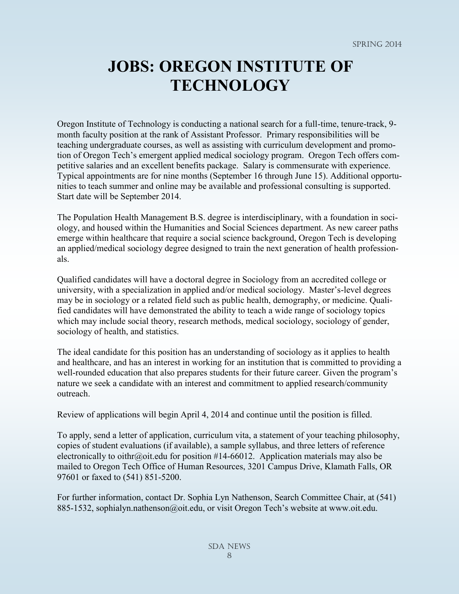## **JOBS: OREGON INSTITUTE OF TECHNOLOGY**

Oregon Institute of Technology is conducting a national search for a full-time, tenure-track, 9 month faculty position at the rank of Assistant Professor. Primary responsibilities will be teaching undergraduate courses, as well as assisting with curriculum development and promotion of Oregon Tech's emergent applied medical sociology program. Oregon Tech offers competitive salaries and an excellent benefits package. Salary is commensurate with experience. Typical appointments are for nine months (September 16 through June 15). Additional opportunities to teach summer and online may be available and professional consulting is supported. Start date will be September 2014.

The Population Health Management B.S. degree is interdisciplinary, with a foundation in sociology, and housed within the Humanities and Social Sciences department. As new career paths emerge within healthcare that require a social science background, Oregon Tech is developing an applied/medical sociology degree designed to train the next generation of health professionals.

Qualified candidates will have a doctoral degree in Sociology from an accredited college or university, with a specialization in applied and/or medical sociology. Master's-level degrees may be in sociology or a related field such as public health, demography, or medicine. Qualified candidates will have demonstrated the ability to teach a wide range of sociology topics which may include social theory, research methods, medical sociology, sociology of gender, sociology of health, and statistics.

The ideal candidate for this position has an understanding of sociology as it applies to health and healthcare, and has an interest in working for an institution that is committed to providing a well-rounded education that also prepares students for their future career. Given the program's nature we seek a candidate with an interest and commitment to applied research/community outreach.

Review of applications will begin April 4, 2014 and continue until the position is filled.

To apply, send a letter of application, curriculum vita, a statement of your teaching philosophy, copies of student evaluations (if available), a sample syllabus, and three letters of reference electronically to oithr@oit.edu for position #14-66012. Application materials may also be mailed to Oregon Tech Office of Human Resources, 3201 Campus Drive, Klamath Falls, OR 97601 or faxed to (541) 851-5200.

For further information, contact Dr. Sophia Lyn Nathenson, Search Committee Chair, at (541) 885-1532, sophialyn.nathenson@oit.edu, or visit Oregon Tech's website at www.oit.edu.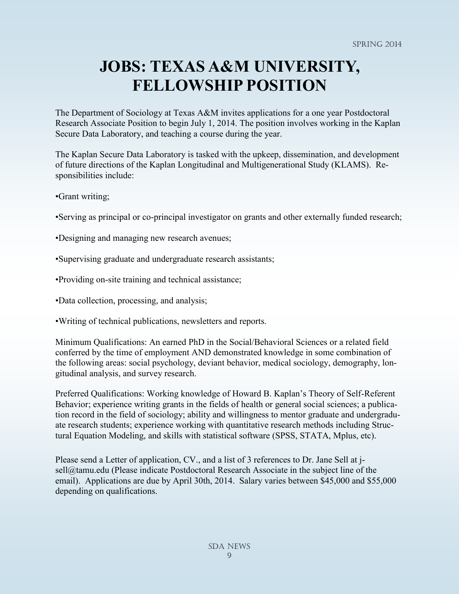## **JOBS: TEXAS A&M UNIVERSITY, FELLOWSHIP POSITION**

The Department of Sociology at Texas A&M invites applications for a one year Postdoctoral Research Associate Position to begin July 1, 2014. The position involves working in the Kaplan Secure Data Laboratory, and teaching a course during the year.

The Kaplan Secure Data Laboratory is tasked with the upkeep, dissemination, and development of future directions of the Kaplan Longitudinal and Multigenerational Study (KLAMS). Responsibilities include:

•Grant writing;

•Serving as principal or co-principal investigator on grants and other externally funded research;

•Designing and managing new research avenues;

•Supervising graduate and undergraduate research assistants;

•Providing on-site training and technical assistance;

•Data collection, processing, and analysis;

•Writing of technical publications, newsletters and reports.

Minimum Qualifications: An earned PhD in the Social/Behavioral Sciences or a related field conferred by the time of employment AND demonstrated knowledge in some combination of the following areas: social psychology, deviant behavior, medical sociology, demography, longitudinal analysis, and survey research.

Preferred Qualifications: Working knowledge of Howard B. Kaplan's Theory of Self-Referent Behavior; experience writing grants in the fields of health or general social sciences; a publication record in the field of sociology; ability and willingness to mentor graduate and undergraduate research students; experience working with quantitative research methods including Structural Equation Modeling, and skills with statistical software (SPSS, STATA, Mplus, etc).

Please send a Letter of application, CV., and a list of 3 references to Dr. Jane Sell at jsell@tamu.edu (Please indicate Postdoctoral Research Associate in the subject line of the email). Applications are due by April 30th, 2014. Salary varies between \$45,000 and \$55,000 depending on qualifications.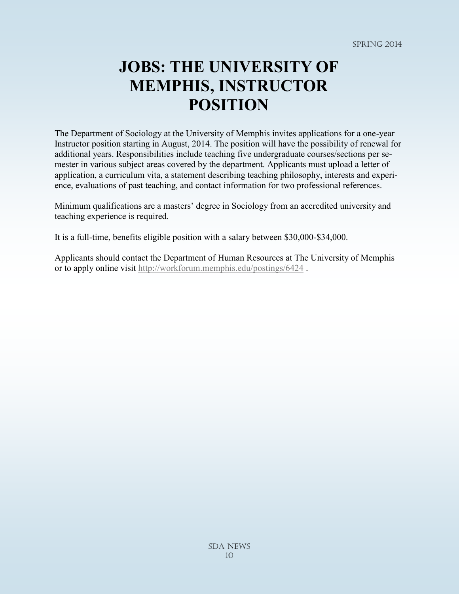## **JOBS: THE UNIVERSITY OF MEMPHIS, INSTRUCTOR POSITION**

The Department of Sociology at the University of Memphis invites applications for a one-year Instructor position starting in August, 2014. The position will have the possibility of renewal for additional years. Responsibilities include teaching five undergraduate courses/sections per semester in various subject areas covered by the department. Applicants must upload a letter of application, a curriculum vita, a statement describing teaching philosophy, interests and experience, evaluations of past teaching, and contact information for two professional references.

Minimum qualifications are a masters' degree in Sociology from an accredited university and teaching experience is required.

It is a full-time, benefits eligible position with a salary between \$30,000-\$34,000.

Applicants should contact the Department of Human Resources at The University of Memphis or to apply online visit<http://workforum.memphis.edu/postings/6424> .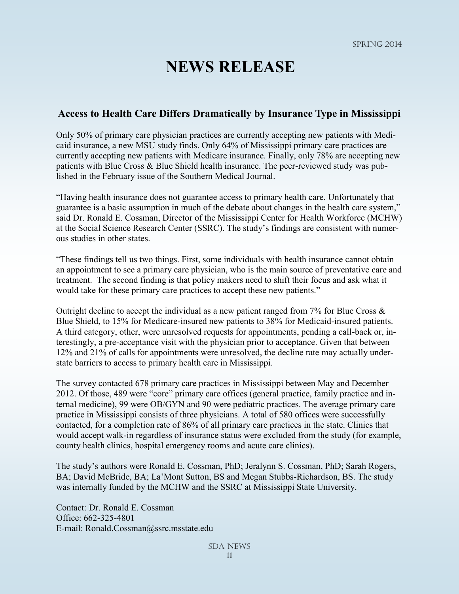#### **NEWS RELEASE**

#### **Access to Health Care Differs Dramatically by Insurance Type in Mississippi**

Only 50% of primary care physician practices are currently accepting new patients with Medicaid insurance, a new MSU study finds. Only 64% of Mississippi primary care practices are currently accepting new patients with Medicare insurance. Finally, only 78% are accepting new patients with Blue Cross & Blue Shield health insurance. The peer-reviewed study was published in the February issue of the Southern Medical Journal.

"Having health insurance does not guarantee access to primary health care. Unfortunately that guarantee is a basic assumption in much of the debate about changes in the health care system," said Dr. Ronald E. Cossman, Director of the Mississippi Center for Health Workforce (MCHW) at the Social Science Research Center (SSRC). The study's findings are consistent with numerous studies in other states.

"These findings tell us two things. First, some individuals with health insurance cannot obtain an appointment to see a primary care physician, who is the main source of preventative care and treatment. The second finding is that policy makers need to shift their focus and ask what it would take for these primary care practices to accept these new patients."

Outright decline to accept the individual as a new patient ranged from  $7\%$  for Blue Cross & Blue Shield, to 15% for Medicare-insured new patients to 38% for Medicaid-insured patients. A third category, other, were unresolved requests for appointments, pending a call-back or, interestingly, a pre-acceptance visit with the physician prior to acceptance. Given that between 12% and 21% of calls for appointments were unresolved, the decline rate may actually understate barriers to access to primary health care in Mississippi.

The survey contacted 678 primary care practices in Mississippi between May and December 2012. Of those, 489 were "core" primary care offices (general practice, family practice and internal medicine), 99 were OB/GYN and 90 were pediatric practices. The average primary care practice in Mississippi consists of three physicians. A total of 580 offices were successfully contacted, for a completion rate of 86% of all primary care practices in the state. Clinics that would accept walk-in regardless of insurance status were excluded from the study (for example, county health clinics, hospital emergency rooms and acute care clinics).

The study's authors were Ronald E. Cossman, PhD; Jeralynn S. Cossman, PhD; Sarah Rogers, BA; David McBride, BA; La'Mont Sutton, BS and Megan Stubbs-Richardson, BS. The study was internally funded by the MCHW and the SSRC at Mississippi State University.

Contact: Dr. Ronald E. Cossman Office: 662-325-4801 E-mail: Ronald.Cossman@ssrc.msstate.edu